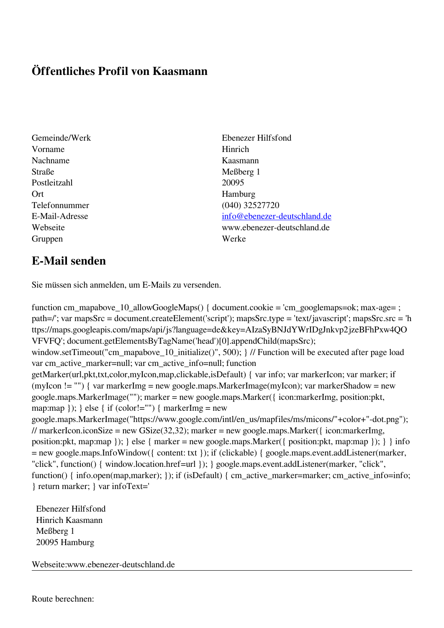## **Öffentliches Profil von Kaasmann**

- Vorname Hinrich Nachname Kaasmann Straße Meßberg 1 Postleitzahl 20095 Ort Hamburg Telefonnummer (040) 32527720 Gruppen Werke
- Gemeinde/Werk Ebenezer Hilfsfond E-Mail-Adresse [info@ebenezer-deutschland.de](mailto:info@ebenezer-deutschland.de) Webseite www.ebenezer-deutschland.de

## **E-Mail senden**

Sie müssen sich anmelden, um E-Mails zu versenden.

function cm\_mapabove\_10\_allowGoogleMaps() { document.cookie = 'cm\_googlemaps=ok; max-age= ; path=/'; var mapsSrc = document.createElement('script'); mapsSrc.type = 'text/javascript'; mapsSrc.src = 'h ttps://maps.googleapis.com/maps/api/js?language=de&key=AIzaSyBNJdYWrIDgJnkvp2jzeBFhPxw4QO VFVFQ'; document.getElementsByTagName('head')[0].appendChild(mapsSrc); window.setTimeout("cm\_mapabove\_10\_initialize()", 500); } // Function will be executed after page load var cm\_active\_marker=null; var cm\_active\_info=null; function getMarker(url,pkt,txt,color,myIcon,map,clickable,isDefault) { var info; var markerIcon; var marker; if (myIcon != "") { var markerImg = new google.maps.MarkerImage(myIcon); var markerShadow = new google.maps.MarkerImage(""); marker = new google.maps.Marker({ icon:markerImg, position:pkt, map:map  $\}$ ;  $\}$  else  $\{$  if (color!="")  $\{$  markerImg = new google.maps.MarkerImage("https://www.google.com/intl/en\_us/mapfiles/ms/micons/"+color+"-dot.png"); // markerIcon.iconSize = new GSize(32,32); marker = new google.maps.Marker({ $i$ con:markerImg, position:pkt, map:map }); } else { marker = new google.maps.Marker({ position:pkt, map:map }); } } info = new google.maps.InfoWindow({ content: txt }); if (clickable) { google.maps.event.addListener(marker, "click", function() { window.location.href=url }); } google.maps.event.addListener(marker, "click", function() { info.open(map,marker); }); if (isDefault) { cm\_active\_marker=marker; cm\_active\_info=info; } return marker; } var infoText='

 Ebenezer Hilfsfond Hinrich Kaasmann Meßberg 1 20095 Hamburg

Webseite:www.ebenezer-deutschland.de